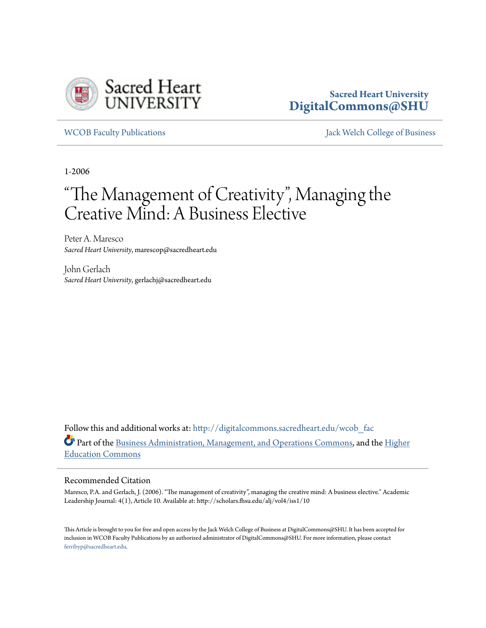

#### **Sacred Heart University [DigitalCommons@SHU](http://digitalcommons.sacredheart.edu?utm_source=digitalcommons.sacredheart.edu%2Fwcob_fac%2F447&utm_medium=PDF&utm_campaign=PDFCoverPages)**

[WCOB Faculty Publications](http://digitalcommons.sacredheart.edu/wcob_fac?utm_source=digitalcommons.sacredheart.edu%2Fwcob_fac%2F447&utm_medium=PDF&utm_campaign=PDFCoverPages) [Jack Welch College of Business](http://digitalcommons.sacredheart.edu/wcob?utm_source=digitalcommons.sacredheart.edu%2Fwcob_fac%2F447&utm_medium=PDF&utm_campaign=PDFCoverPages)

1-2006

# "The Management of Creativity ", Managing the Creative Mind: A Business Elective

Peter A. Maresco *Sacred Heart University*, marescop@sacredheart.edu

John Gerlach *Sacred Heart University*, gerlachj@sacredheart.edu

Follow this and additional works at: [http://digitalcommons.sacredheart.edu/wcob\\_fac](http://digitalcommons.sacredheart.edu/wcob_fac?utm_source=digitalcommons.sacredheart.edu%2Fwcob_fac%2F447&utm_medium=PDF&utm_campaign=PDFCoverPages) Part of the [Business Administration, Management, and Operations Commons](http://network.bepress.com/hgg/discipline/623?utm_source=digitalcommons.sacredheart.edu%2Fwcob_fac%2F447&utm_medium=PDF&utm_campaign=PDFCoverPages), and the [Higher](http://network.bepress.com/hgg/discipline/1245?utm_source=digitalcommons.sacredheart.edu%2Fwcob_fac%2F447&utm_medium=PDF&utm_campaign=PDFCoverPages) [Education Commons](http://network.bepress.com/hgg/discipline/1245?utm_source=digitalcommons.sacredheart.edu%2Fwcob_fac%2F447&utm_medium=PDF&utm_campaign=PDFCoverPages)

#### Recommended Citation

Maresco, P.A. and Gerlach, J. (2006). "The management of creativity", managing the creative mind: A business elective." Academic Leadership Journal: 4(1), Article 10. Available at: http://scholars.fhsu.edu/alj/vol4/iss1/10

This Article is brought to you for free and open access by the Jack Welch College of Business at DigitalCommons@SHU. It has been accepted for inclusion in WCOB Faculty Publications by an authorized administrator of DigitalCommons@SHU. For more information, please contact [ferribyp@sacredheart.edu](mailto:ferribyp@sacredheart.edu).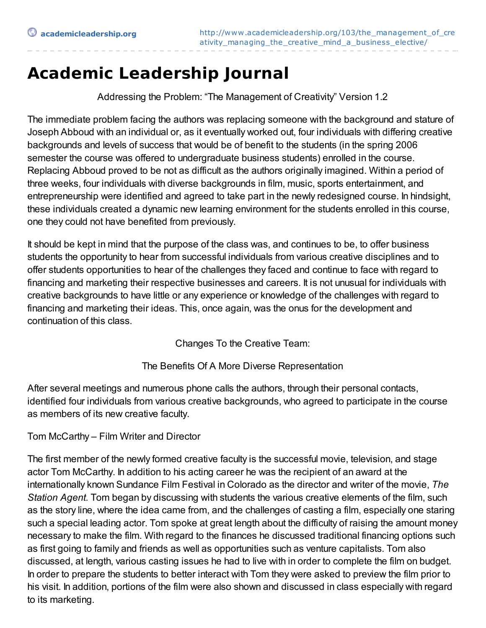## **Academic Leadership Journal**

Addressing the Problem: "The Management of Creativity" Version 1.2

The immediate problem facing the authors was replacing someone with the background and stature of Joseph Abboud with an individual or, as it eventually worked out, four individuals with differing creative backgrounds and levels of success that would be of benefit to the students (in the spring 2006 semester the course was offered to undergraduate business students) enrolled in the course. Replacing Abboud proved to be not as difficult as the authors originally imagined. Within a period of three weeks, four individuals with diverse backgrounds in film, music, sports entertainment, and entrepreneurship were identified and agreed to take part in the newly redesigned course. In hindsight, these individuals created a dynamic new learning environment for the students enrolled in this course, one they could not have benefited from previously.

It should be kept in mind that the purpose of the class was, and continues to be, to offer business students the opportunity to hear from successful individuals from various creative disciplines and to offer students opportunities to hear of the challenges they faced and continue to face with regard to financing and marketing their respective businesses and careers. It is not unusual for individuals with creative backgrounds to have little or any experience or knowledge of the challenges with regard to financing and marketing their ideas. This, once again, was the onus for the development and continuation of this class.

Changes To the Creative Team:

The Benefits Of A More Diverse Representation

After several meetings and numerous phone calls the authors, through their personal contacts, identified four individuals from various creative backgrounds, who agreed to participate in the course as members of its new creative faculty.

#### Tom McCarthy – Film Writer and Director

The first member of the newly formed creative faculty is the successful movie, television, and stage actor Tom McCarthy. In addition to his acting career he was the recipient of an award at the internationally known Sundance Film Festival in Colorado as the director and writer of the movie, *The Station Agent.* Tom began by discussing with students the various creative elements of the film, such as the story line, where the idea came from, and the challenges of casting a film, especially one staring such a special leading actor. Tom spoke at great length about the difficulty of raising the amount money necessary to make the film. With regard to the finances he discussed traditional financing options such as first going to family and friends as well as opportunities such as venture capitalists. Tom also discussed, at length, various casting issues he had to live with in order to complete the film on budget. In order to prepare the students to better interact with Tom they were asked to preview the film prior to his visit. In addition, portions of the film were also shown and discussed in class especially with regard to its marketing.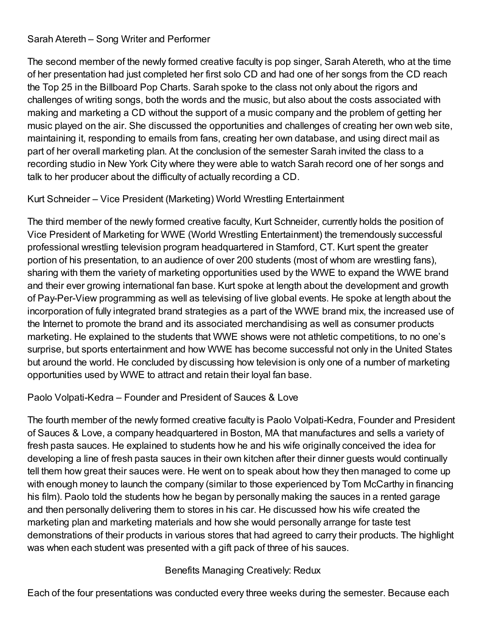#### Sarah Atereth – Song Writer and Performer

The second member of the newly formed creative faculty is pop singer, Sarah Atereth, who at the time of her presentation had just completed her first solo CD and had one of her songs from the CD reach the Top 25 in the Billboard Pop Charts. Sarah spoke to the class not only about the rigors and challenges of writing songs, both the words and the music, but also about the costs associated with making and marketing a CD without the support of a music company and the problem of getting her music played on the air. She discussed the opportunities and challenges of creating her own web site, maintaining it, responding to emails from fans, creating her own database, and using direct mail as part of her overall marketing plan. At the conclusion of the semester Sarah invited the class to a recording studio in New York City where they were able to watch Sarah record one of her songs and talk to her producer about the difficulty of actually recording a CD.

#### Kurt Schneider – Vice President (Marketing) World Wrestling Entertainment

The third member of the newly formed creative faculty, Kurt Schneider, currently holds the position of Vice President of Marketing for WWE (World Wrestling Entertainment) the tremendously successful professional wrestling television program headquartered in Stamford, CT. Kurt spent the greater portion of his presentation, to an audience of over 200 students (most of whom are wrestling fans), sharing with them the variety of marketing opportunities used by the WWE to expand the WWE brand and their ever growing international fan base. Kurt spoke at length about the development and growth of Pay-Per-View programming as well as televising of live global events. He spoke at length about the incorporation of fully integrated brand strategies as a part of the WWE brand mix, the increased use of the Internet to promote the brand and its associated merchandising as well as consumer products marketing. He explained to the students that WWE shows were not athletic competitions, to no one's surprise, but sports entertainment and how WWE has become successful not only in the United States but around the world. He concluded by discussing how television is only one of a number of marketing opportunities used by WWE to attract and retain their loyal fan base.

#### Paolo Volpati-Kedra – Founder and President of Sauces & Love

The fourth member of the newly formed creative faculty is Paolo Volpati-Kedra, Founder and President of Sauces & Love, a company headquartered in Boston, MA that manufactures and sells a variety of fresh pasta sauces. He explained to students how he and his wife originally conceived the idea for developing a line of fresh pasta sauces in their own kitchen after their dinner guests would continually tell them how great their sauces were. He went on to speak about how they then managed to come up with enough money to launch the company (similar to those experienced by Tom McCarthy in financing his film). Paolo told the students how he began by personally making the sauces in a rented garage and then personally delivering them to stores in his car. He discussed how his wife created the marketing plan and marketing materials and how she would personally arrange for taste test demonstrations of their products in various stores that had agreed to carry their products. The highlight was when each student was presented with a gift pack of three of his sauces.

### Benefits Managing Creatively: Redux

Each of the four presentations was conducted every three weeks during the semester. Because each